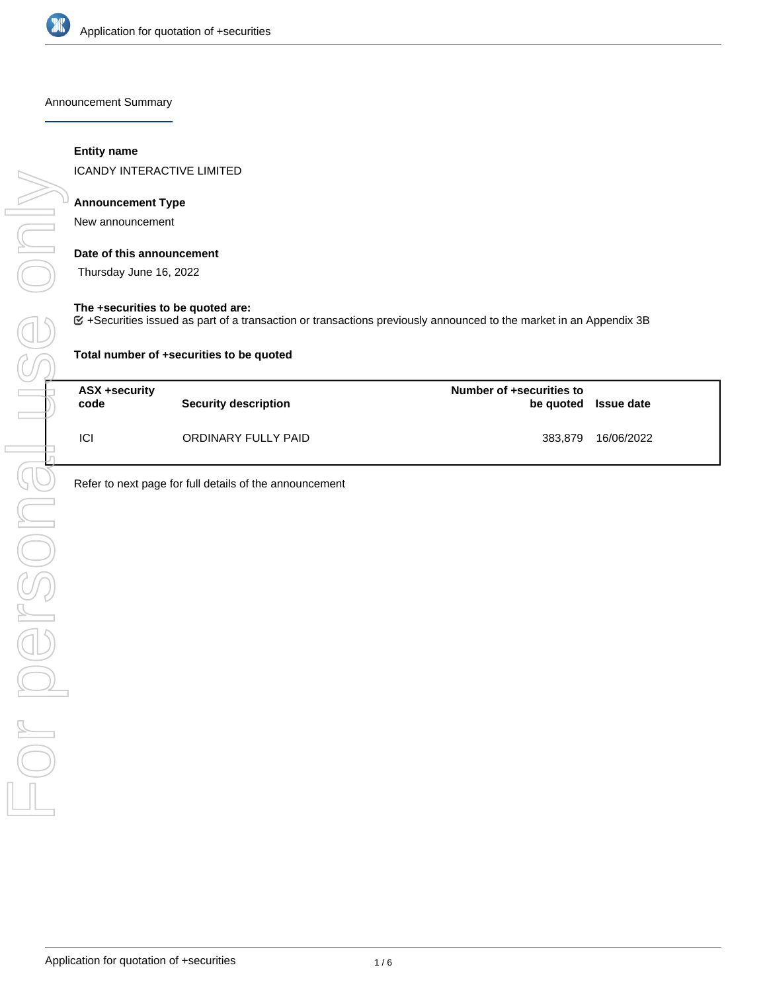

Announcement Summary

### **Entity name**

ICANDY INTERACTIVE LIMITED

### **Announcement Type**

New announcement

# **Date of this announcement**

Thursday June 16, 2022

### **The +securities to be quoted are:**

+Securities issued as part of a transaction or transactions previously announced to the market in an Appendix 3B

| Total number of +securities to be quoted |                             |                          |                      |  |
|------------------------------------------|-----------------------------|--------------------------|----------------------|--|
| ASX +security<br>code                    | <b>Security description</b> | Number of +securities to | be quoted Issue date |  |
| ICI                                      | ORDINARY FULLY PAID         | 383.879                  | 16/06/2022           |  |

Refer to next page for full details of the announcement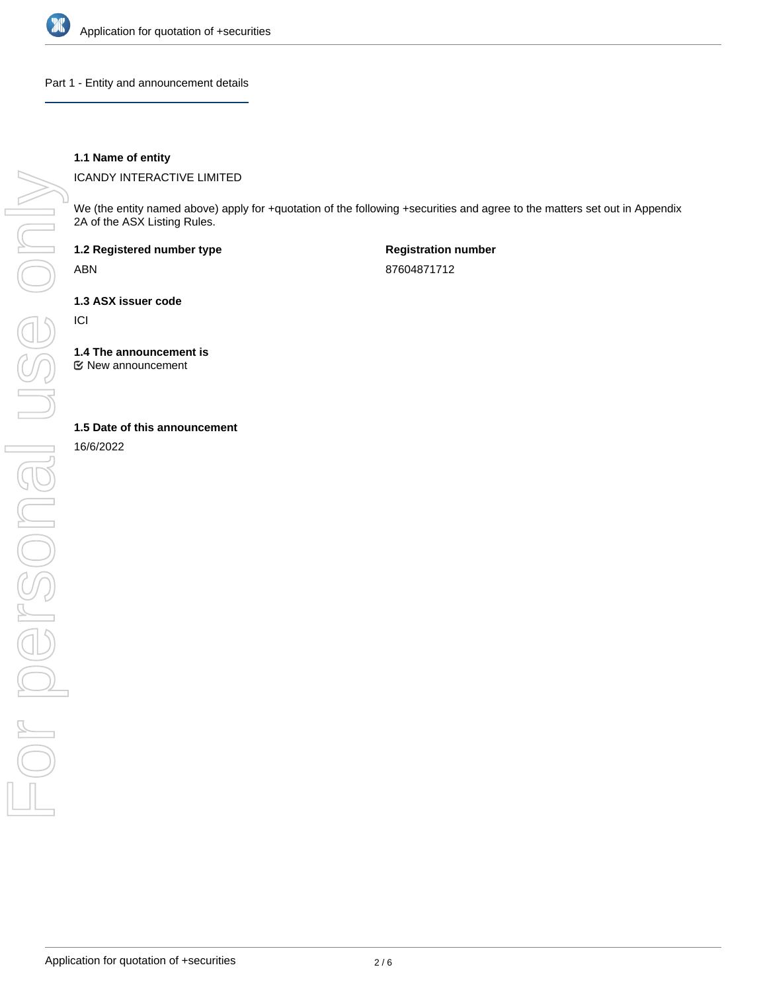

Part 1 - Entity and announcement details

# **1.1 Name of entity**

ICANDY INTERACTIVE LIMITED

We (the entity named above) apply for +quotation of the following +securities and agree to the matters set out in Appendix 2A of the ASX Listing Rules.

**1.2 Registered number type**

ABN

**Registration number** 87604871712

**1.3 ASX issuer code**

ICI

**1.4 The announcement is**

New announcement

# **1.5 Date of this announcement**

16/6/2022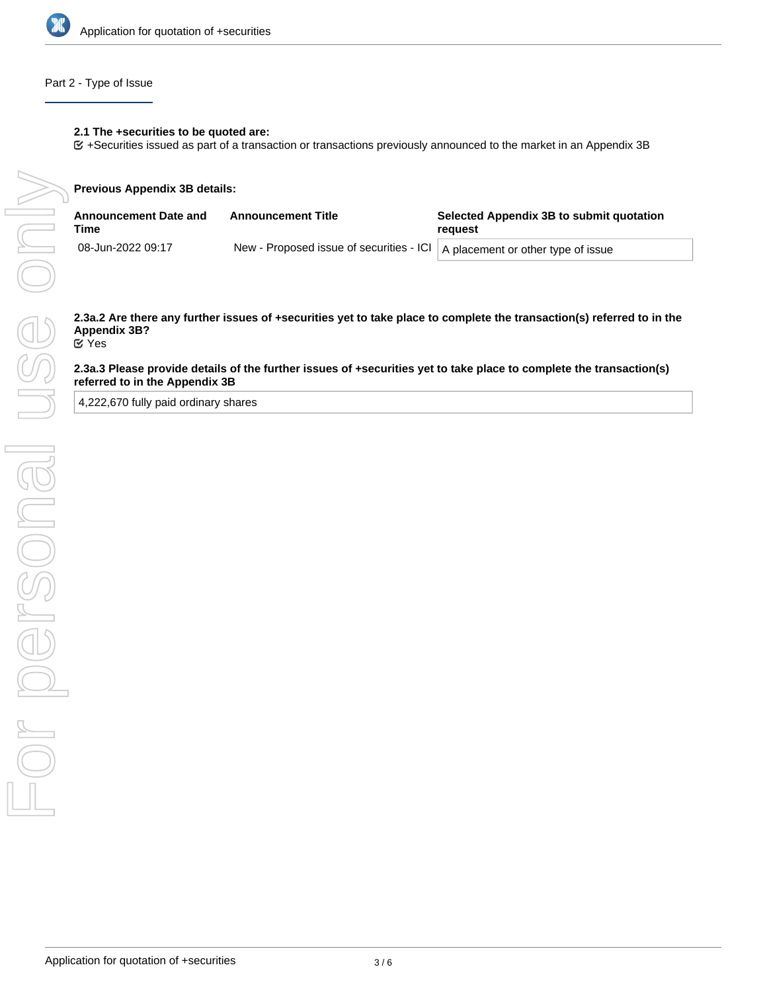

# Part 2 - Type of Issue

+Securities issued as part of a transaction or transactions previously announced to the market in an Appendix 3B

|  |  | Previous Appendix 3B details: |
|--|--|-------------------------------|
|  |  |                               |

| <b>Announcement Date and</b><br>Time | <b>Announcement Title</b>                                                     | Selected Appendix 3B to submit quotation<br>reguest |
|--------------------------------------|-------------------------------------------------------------------------------|-----------------------------------------------------|
| 08-Jun-2022 09:17                    | New - Proposed issue of securities - ICI   A placement or other type of issue |                                                     |

**2.3a.2 Are there any further issues of +securities yet to take place to complete the transaction(s) referred to in the Appendix 3B?** Yes

# **2.3a.3 Please provide details of the further issues of +securities yet to take place to complete the transaction(s) referred to in the Appendix 3B**

4,222,670 fully paid ordinary shares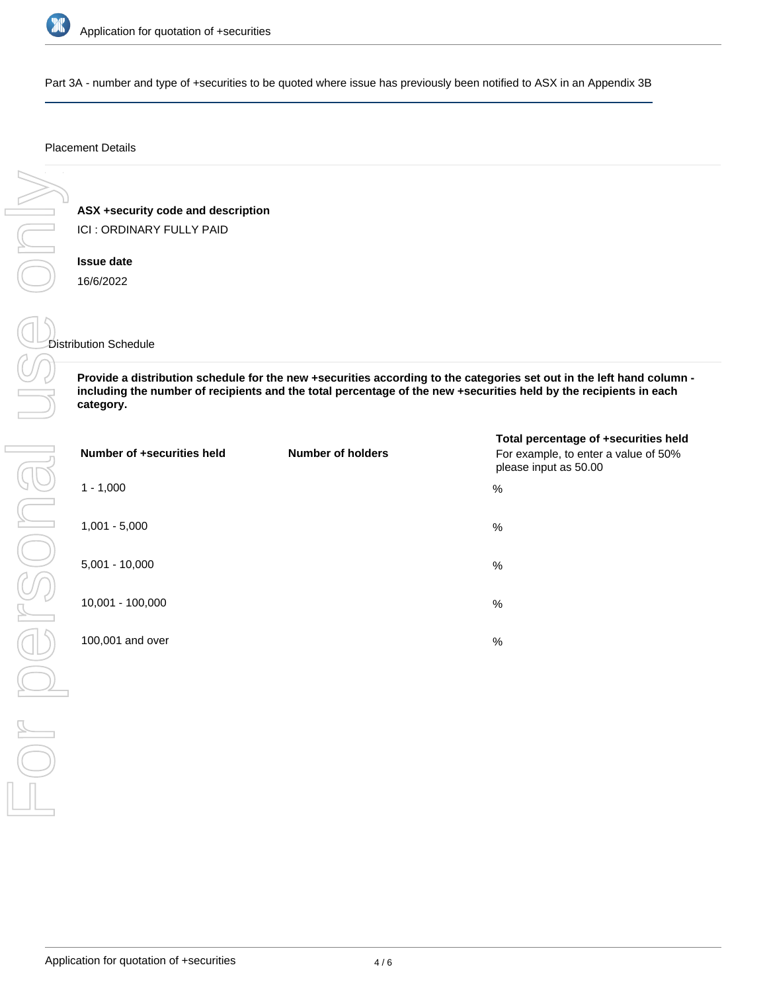

Part 3A - number and type of +securities to be quoted where issue has previously been notified to ASX in an Appendix 3B

### Placement Details

# **ASX +security code and description**

ICI : ORDINARY FULLY PAID

# **Issue date** 16/6/2022

### Distribution Schedule

**Provide a distribution schedule for the new +securities according to the categories set out in the left hand column including the number of recipients and the total percentage of the new +securities held by the recipients in each category.**

| Number of +securities held | <b>Number of holders</b> | Total percentage of +securities held<br>For example, to enter a value of 50%<br>please input as 50.00 |
|----------------------------|--------------------------|-------------------------------------------------------------------------------------------------------|
| $1 - 1,000$                |                          | %                                                                                                     |
| $1,001 - 5,000$            |                          | %                                                                                                     |
| $5,001 - 10,000$           |                          | %                                                                                                     |
| 10,001 - 100,000           |                          | %                                                                                                     |
| 100,001 and over           |                          | $\%$                                                                                                  |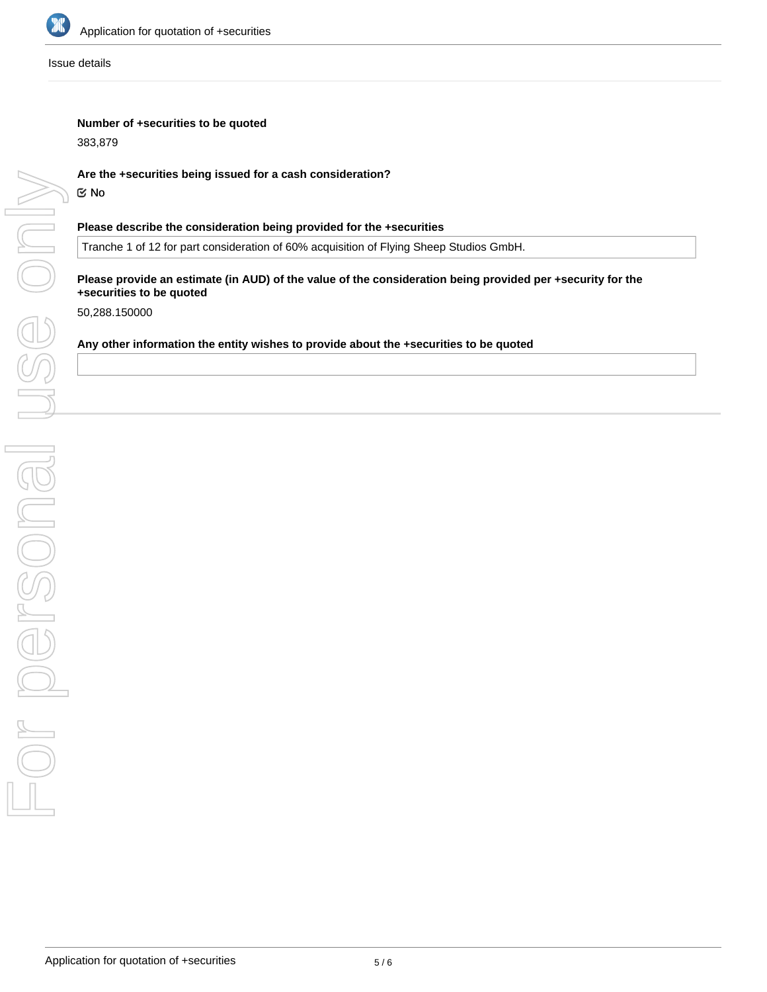

Issue details

# **Number of +securities to be quoted**

383,879

# **Are the +securities being issued for a cash consideration?**

No

# **Please describe the consideration being provided for the +securities**

Tranche 1 of 12 for part consideration of 60% acquisition of Flying Sheep Studios GmbH.

### **Please provide an estimate (in AUD) of the value of the consideration being provided per +security for the +securities to be quoted**

50,288.150000

# **Any other information the entity wishes to provide about the +securities to be quoted**